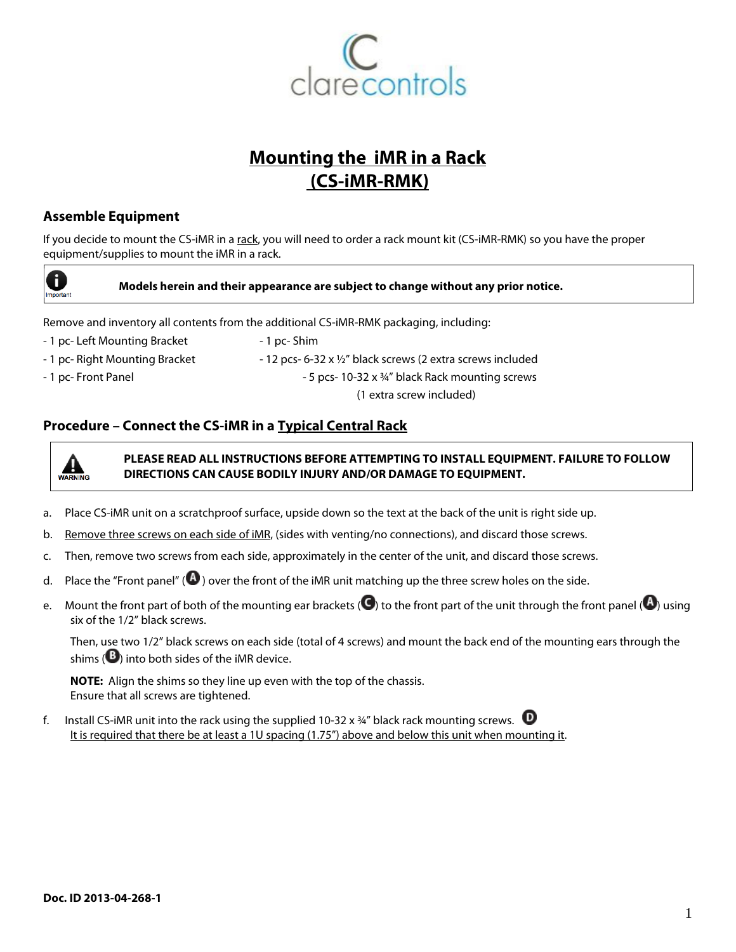

# **Mounting the iMR in a Rack (CS-iMR-RMK)**

## **Assemble Equipment**

If you decide to mount the CS-iMR in a rack, you will need to order a rack mount kit (CS-iMR-RMK) so you have the proper equipment/supplies to mount the iMR in a rack.



#### **Models herein and their appearance are subject to change without any prior notice.**

Remove and inventory all contents from the additional CS-iMR-RMK packaging, including:

- 1 pc- Left Mounting Bracket 1 pc- Shim
- 
- 

- 1 pc- Right Mounting Bracket - 12 pcs- 6-32 x 1/2" black screws (2 extra screws included - 1 pc- Front Panel 2008 and  $\sim$  5 pcs- 10-32 x  $\frac{3}{4}$ " black Rack mounting screws (1 extra screw included)

### **Procedure – Connect the CS-iMR in a Typical Central Rack**



**PLEASE READ ALL INSTRUCTIONS BEFORE ATTEMPTING TO INSTALL EQUIPMENT. FAILURE TO FOLLOW DIRECTIONS CAN CAUSE BODILY INJURY AND/OR DAMAGE TO EQUIPMENT.**

- a. Place CS-iMR unit on a scratchproof surface, upside down so the text at the back of the unit is right side up.
- b. Remove three screws on each side of iMR, (sides with venting/no connections), and discard those screws.
- c. Then, remove two screws from each side, approximately in the center of the unit, and discard those screws.
- d. Place the "Front panel" ( $\bigcirc$ ) over the front of the iMR unit matching up the three screw holes on the side.
- e. Mount the front part of both of the mounting ear brackets ( $\bigodot$ ) to the front part of the unit through the front panel ( $\bigodot$ ) using six of the 1/2" black screws.

Then, use two 1/2" black screws on each side (total of 4 screws) and mount the back end of the mounting ears through the shims  $\left( \mathbf{B} \right)$  into both sides of the iMR device.

**NOTE:** Align the shims so they line up even with the top of the chassis. Ensure that all screws are tightened.

f. Install CS-iMR unit into the rack using the supplied 10-32 x  $\frac{3}{4}$ " black rack mounting screws.  $\bullet$ It is required that there be at least a 1U spacing (1.75") above and below this unit when mounting it.